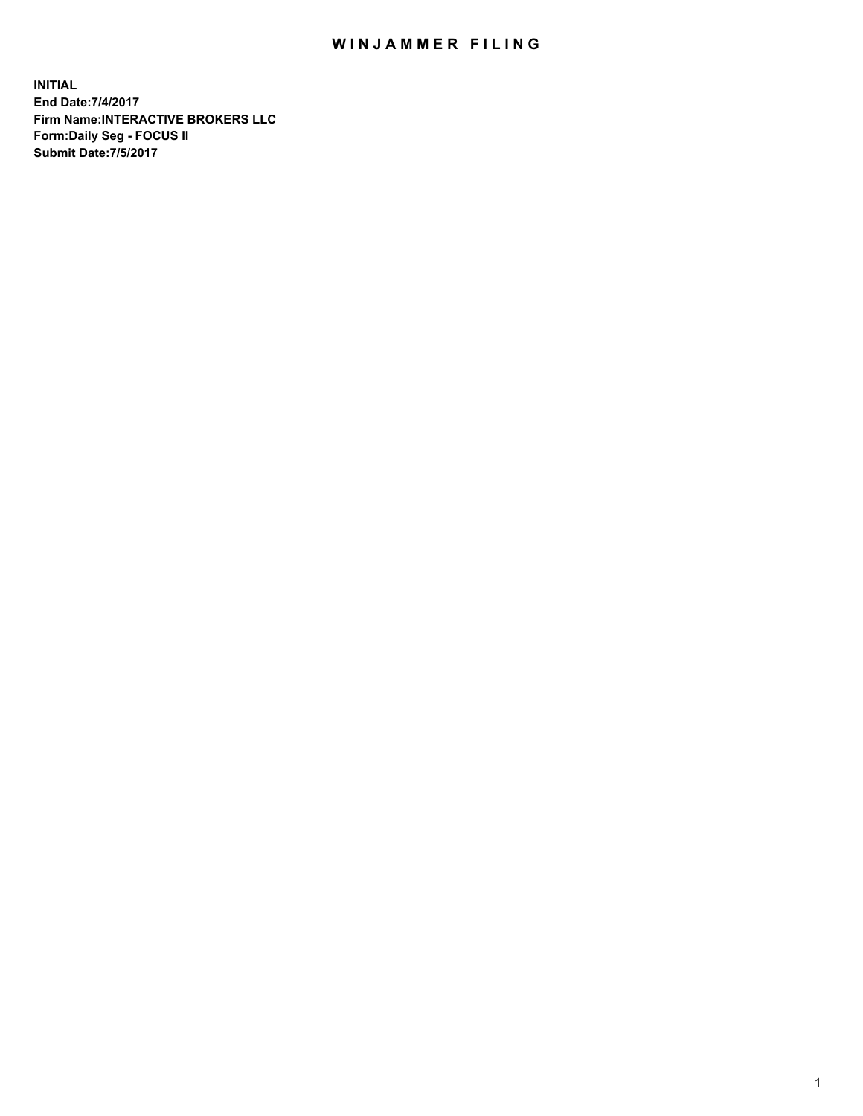## WIN JAMMER FILING

**INITIAL End Date:7/4/2017 Firm Name:INTERACTIVE BROKERS LLC Form:Daily Seg - FOCUS II Submit Date:7/5/2017**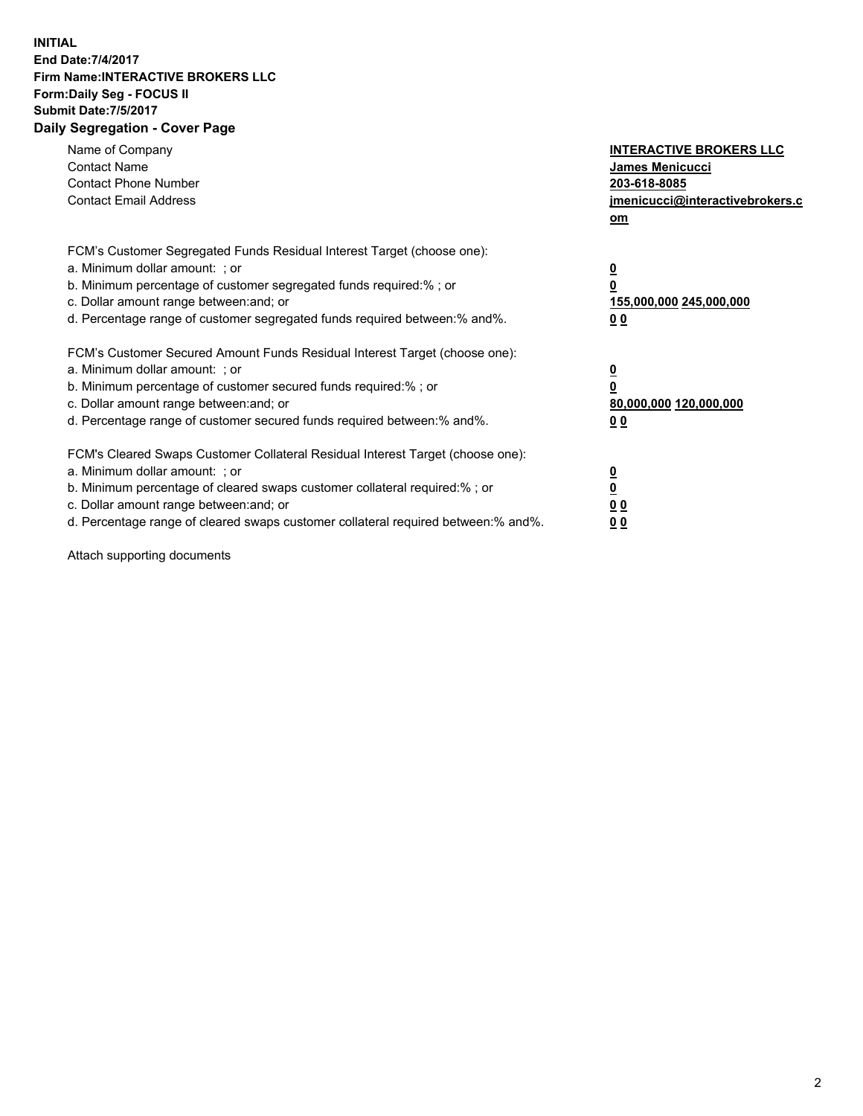## **INITIAL End Date:7/4/2017 Firm Name:INTERACTIVE BROKERS LLC Form:Daily Seg - FOCUS II Submit Date:7/5/2017 Daily Segregation - Cover Page**

| Name of Company<br><b>Contact Name</b><br><b>Contact Phone Number</b><br><b>Contact Email Address</b>                                                                                                                                                                                                                          | <b>INTERACTIVE BROKERS LLC</b><br>James Menicucci<br>203-618-8085<br>jmenicucci@interactivebrokers.c<br>om |
|--------------------------------------------------------------------------------------------------------------------------------------------------------------------------------------------------------------------------------------------------------------------------------------------------------------------------------|------------------------------------------------------------------------------------------------------------|
| FCM's Customer Segregated Funds Residual Interest Target (choose one):<br>a. Minimum dollar amount: ; or<br>b. Minimum percentage of customer segregated funds required:% ; or<br>c. Dollar amount range between: and; or<br>d. Percentage range of customer segregated funds required between:% and%.                         | $\overline{\mathbf{0}}$<br>0<br>155,000,000 245,000,000<br>0 <sub>0</sub>                                  |
| FCM's Customer Secured Amount Funds Residual Interest Target (choose one):<br>a. Minimum dollar amount: ; or<br>b. Minimum percentage of customer secured funds required:%; or<br>c. Dollar amount range between: and; or<br>d. Percentage range of customer secured funds required between: % and %.                          | $\overline{\mathbf{0}}$<br>0<br>80,000,000 120,000,000<br>0 <sub>0</sub>                                   |
| FCM's Cleared Swaps Customer Collateral Residual Interest Target (choose one):<br>a. Minimum dollar amount: ; or<br>b. Minimum percentage of cleared swaps customer collateral required:% ; or<br>c. Dollar amount range between: and; or<br>d. Percentage range of cleared swaps customer collateral required between:% and%. | $\overline{\mathbf{0}}$<br>$\overline{\mathbf{0}}$<br>0 <sub>0</sub><br>0 <sub>0</sub>                     |

Attach supporting documents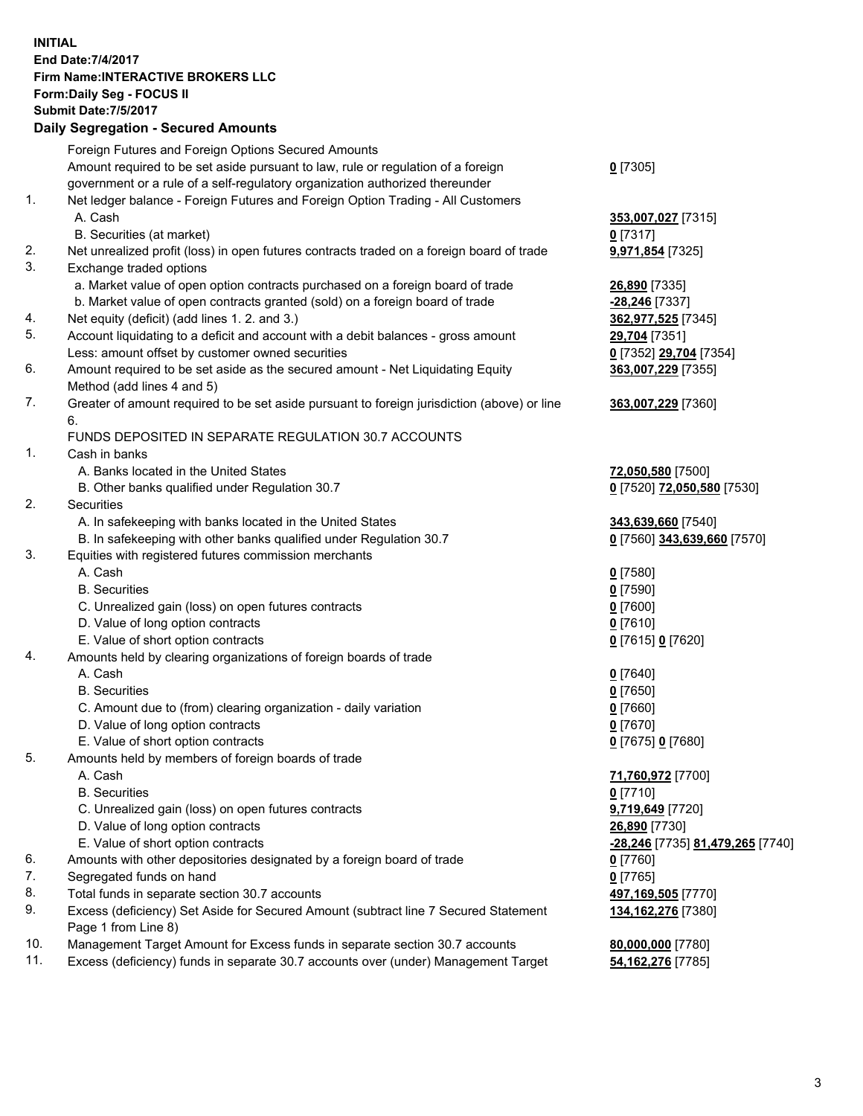## **INITIAL End Date:7/4/2017 Firm Name:INTERACTIVE BROKERS LLC Form:Daily Seg - FOCUS II Submit Date:7/5/2017 Daily Segregation - Secured Amounts**

|     | Foreign Futures and Foreign Options Secured Amounts                                         |                                   |
|-----|---------------------------------------------------------------------------------------------|-----------------------------------|
|     | Amount required to be set aside pursuant to law, rule or regulation of a foreign            | $0$ [7305]                        |
|     | government or a rule of a self-regulatory organization authorized thereunder                |                                   |
| 1.  | Net ledger balance - Foreign Futures and Foreign Option Trading - All Customers             |                                   |
|     | A. Cash                                                                                     | 353,007,027 [7315]                |
|     | B. Securities (at market)                                                                   | $0$ [7317]                        |
| 2.  | Net unrealized profit (loss) in open futures contracts traded on a foreign board of trade   | <b>9,971,854</b> [7325]           |
| 3.  | Exchange traded options                                                                     |                                   |
|     | a. Market value of open option contracts purchased on a foreign board of trade              |                                   |
|     |                                                                                             | 26,890 [7335]<br>$-28,246$ [7337] |
|     | b. Market value of open contracts granted (sold) on a foreign board of trade                |                                   |
| 4.  | Net equity (deficit) (add lines 1.2. and 3.)                                                | 362,977,525 [7345]                |
| 5.  | Account liquidating to a deficit and account with a debit balances - gross amount           | 29,704 [7351]                     |
|     | Less: amount offset by customer owned securities                                            | 0 [7352] 29,704 [7354]            |
| 6.  | Amount required to be set aside as the secured amount - Net Liquidating Equity              | 363,007,229 [7355]                |
|     | Method (add lines 4 and 5)                                                                  |                                   |
| 7.  | Greater of amount required to be set aside pursuant to foreign jurisdiction (above) or line | 363,007,229 [7360]                |
|     | 6.                                                                                          |                                   |
|     | FUNDS DEPOSITED IN SEPARATE REGULATION 30.7 ACCOUNTS                                        |                                   |
| 1.  | Cash in banks                                                                               |                                   |
|     | A. Banks located in the United States                                                       | 72,050,580 [7500]                 |
|     | B. Other banks qualified under Regulation 30.7                                              | 0 [7520] 72,050,580 [7530]        |
| 2.  | Securities                                                                                  |                                   |
|     | A. In safekeeping with banks located in the United States                                   | 343,639,660 [7540]                |
|     | B. In safekeeping with other banks qualified under Regulation 30.7                          | 0 [7560] 343,639,660 [7570]       |
| 3.  | Equities with registered futures commission merchants                                       |                                   |
|     | A. Cash                                                                                     | $0$ [7580]                        |
|     | <b>B.</b> Securities                                                                        | $0$ [7590]                        |
|     | C. Unrealized gain (loss) on open futures contracts                                         | $0$ [7600]                        |
|     | D. Value of long option contracts                                                           | $0$ [7610]                        |
|     | E. Value of short option contracts                                                          | 0 [7615] 0 [7620]                 |
| 4.  | Amounts held by clearing organizations of foreign boards of trade                           |                                   |
|     | A. Cash                                                                                     | $0$ [7640]                        |
|     | <b>B.</b> Securities                                                                        | $0$ [7650]                        |
|     | C. Amount due to (from) clearing organization - daily variation                             | $0$ [7660]                        |
|     | D. Value of long option contracts                                                           | $0$ [7670]                        |
|     | E. Value of short option contracts                                                          | 0 [7675] 0 [7680]                 |
| 5.  | Amounts held by members of foreign boards of trade                                          |                                   |
|     | A. Cash                                                                                     | 71,760,972 [7700]                 |
|     | <b>B.</b> Securities                                                                        | $0$ [7710]                        |
|     | C. Unrealized gain (loss) on open futures contracts                                         |                                   |
|     |                                                                                             | 9,719,649 [7720]                  |
|     | D. Value of long option contracts                                                           | 26,890 [7730]                     |
|     | E. Value of short option contracts                                                          | -28,246 [7735] 81,479,265 [7740]  |
| 6.  | Amounts with other depositories designated by a foreign board of trade                      | $0$ [7760]                        |
| 7.  | Segregated funds on hand                                                                    | $0$ [7765]                        |
| 8.  | Total funds in separate section 30.7 accounts                                               | 497,169,505 [7770]                |
| 9.  | Excess (deficiency) Set Aside for Secured Amount (subtract line 7 Secured Statement         | 134, 162, 276 [7380]              |
|     | Page 1 from Line 8)                                                                         |                                   |
| 10. | Management Target Amount for Excess funds in separate section 30.7 accounts                 | 80,000,000 [7780]                 |
| 11. | Excess (deficiency) funds in separate 30.7 accounts over (under) Management Target          | 54,162,276 [7785]                 |
|     |                                                                                             |                                   |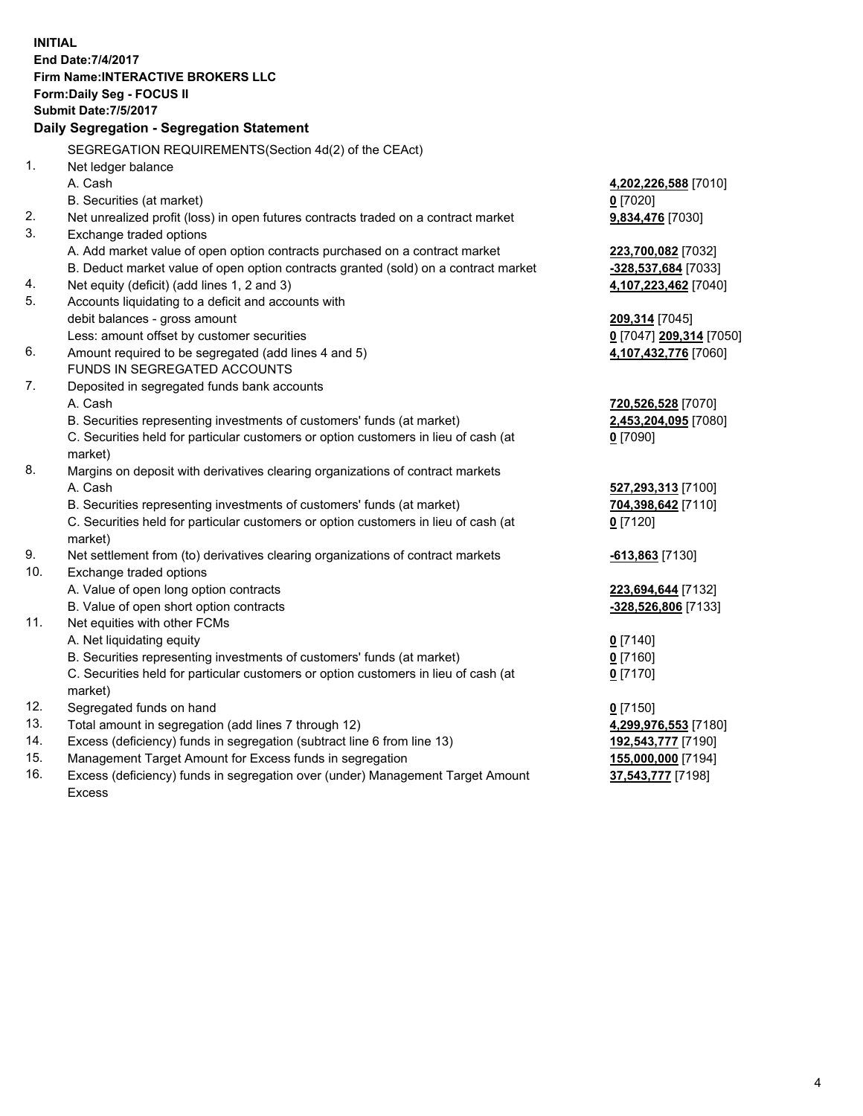**INITIAL End Date:7/4/2017 Firm Name:INTERACTIVE BROKERS LLC Form:Daily Seg - FOCUS II Submit Date:7/5/2017 Daily Segregation - Segregation Statement** SEGREGATION REQUIREMENTS(Section 4d(2) of the CEAct) 1. Net ledger balance A. Cash **4,202,226,588** [7010] B. Securities (at market) **0** [7020] 2. Net unrealized profit (loss) in open futures contracts traded on a contract market **9,834,476** [7030] 3. Exchange traded options A. Add market value of open option contracts purchased on a contract market **223,700,082** [7032] B. Deduct market value of open option contracts granted (sold) on a contract market **-328,537,684** [7033] 4. Net equity (deficit) (add lines 1, 2 and 3) **4,107,223,462** [7040] 5. Accounts liquidating to a deficit and accounts with debit balances - gross amount **209,314** [7045] Less: amount offset by customer securities **0** [7047] **209,314** [7050] 6. Amount required to be segregated (add lines 4 and 5) **4,107,432,776** [7060] FUNDS IN SEGREGATED ACCOUNTS 7. Deposited in segregated funds bank accounts A. Cash **720,526,528** [7070] B. Securities representing investments of customers' funds (at market) **2,453,204,095** [7080] C. Securities held for particular customers or option customers in lieu of cash (at market) **0** [7090] 8. Margins on deposit with derivatives clearing organizations of contract markets A. Cash **527,293,313** [7100] B. Securities representing investments of customers' funds (at market) **704,398,642** [7110] C. Securities held for particular customers or option customers in lieu of cash (at market) **0** [7120] 9. Net settlement from (to) derivatives clearing organizations of contract markets **-613,863** [7130] 10. Exchange traded options A. Value of open long option contracts **223,694,644** [7132] B. Value of open short option contracts **-328,526,806** [7133] 11. Net equities with other FCMs A. Net liquidating equity **0** [7140] B. Securities representing investments of customers' funds (at market) **0** [7160] C. Securities held for particular customers or option customers in lieu of cash (at market) **0** [7170] 12. Segregated funds on hand **0** [7150] 13. Total amount in segregation (add lines 7 through 12) **4,299,976,553** [7180] 14. Excess (deficiency) funds in segregation (subtract line 6 from line 13) **192,543,777** [7190] 15. Management Target Amount for Excess funds in segregation **155,000,000** [7194] 16. Excess (deficiency) funds in segregation over (under) Management Target Amount **37,543,777** [7198]

Excess